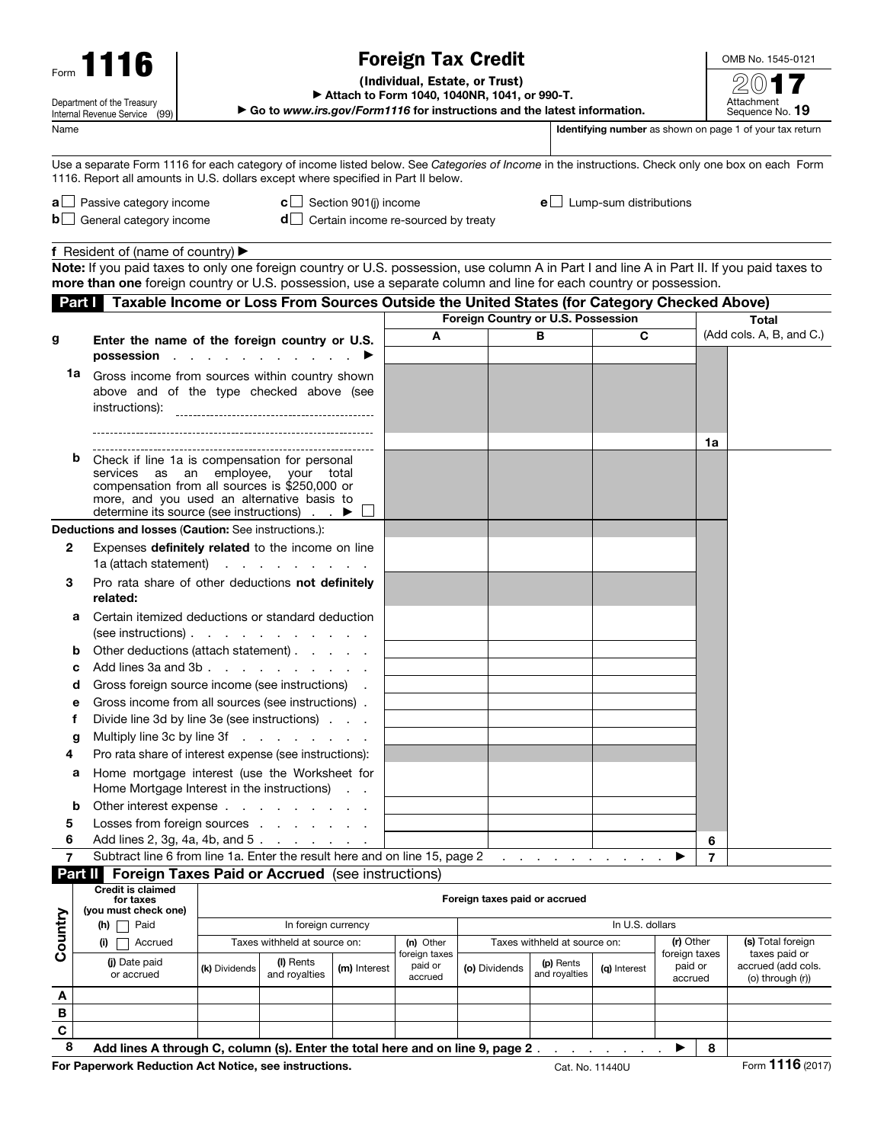| <b>Foreign Tax Credit</b><br>Form $1116$                                          |                                                                                                                                                                                                                                                                |                                                   |                                                                                                                 |                                                                                |                                                                                                                                                  |                                    |                                     |                                                            |                          | OMB No. 1545-0121 |                                                                 |
|-----------------------------------------------------------------------------------|----------------------------------------------------------------------------------------------------------------------------------------------------------------------------------------------------------------------------------------------------------------|---------------------------------------------------|-----------------------------------------------------------------------------------------------------------------|--------------------------------------------------------------------------------|--------------------------------------------------------------------------------------------------------------------------------------------------|------------------------------------|-------------------------------------|------------------------------------------------------------|--------------------------|-------------------|-----------------------------------------------------------------|
|                                                                                   |                                                                                                                                                                                                                                                                |                                                   |                                                                                                                 | (Individual, Estate, or Trust)<br>Attach to Form 1040, 1040NR, 1041, or 990-T. |                                                                                                                                                  |                                    |                                     |                                                            |                          |                   |                                                                 |
|                                                                                   | Department of the Treasury<br>Internal Revenue Service (99)                                                                                                                                                                                                    |                                                   | Go to www.irs.gov/Form1116 for instructions and the latest information.                                         |                                                                                |                                                                                                                                                  |                                    |                                     |                                                            |                          |                   | Attachment<br>Sequence No. 19                                   |
| Name                                                                              |                                                                                                                                                                                                                                                                |                                                   |                                                                                                                 |                                                                                |                                                                                                                                                  |                                    |                                     |                                                            |                          |                   | <b>Identifying number</b> as shown on page 1 of your tax return |
|                                                                                   |                                                                                                                                                                                                                                                                |                                                   |                                                                                                                 |                                                                                |                                                                                                                                                  |                                    |                                     |                                                            |                          |                   |                                                                 |
| 1116. Report all amounts in U.S. dollars except where specified in Part II below. |                                                                                                                                                                                                                                                                |                                                   |                                                                                                                 |                                                                                | Use a separate Form 1116 for each category of income listed below. See Categories of Income in the instructions. Check only one box on each Form |                                    |                                     |                                                            |                          |                   |                                                                 |
|                                                                                   | <b>a</b> $\Box$ Passive category income                                                                                                                                                                                                                        |                                                   |                                                                                                                 | <b>c</b> $\Box$ Section 901(j) income                                          |                                                                                                                                                  |                                    |                                     | $e$ Lump-sum distributions                                 |                          |                   |                                                                 |
|                                                                                   | <b>b</b> General category income                                                                                                                                                                                                                               |                                                   |                                                                                                                 |                                                                                | $d$ Certain income re-sourced by treaty                                                                                                          |                                    |                                     |                                                            |                          |                   |                                                                 |
|                                                                                   |                                                                                                                                                                                                                                                                |                                                   |                                                                                                                 |                                                                                |                                                                                                                                                  |                                    |                                     |                                                            |                          |                   |                                                                 |
|                                                                                   | <b>f</b> Resident of (name of country) $\blacktriangleright$                                                                                                                                                                                                   |                                                   |                                                                                                                 |                                                                                |                                                                                                                                                  |                                    |                                     |                                                            |                          |                   |                                                                 |
|                                                                                   | Note: If you paid taxes to only one foreign country or U.S. possession, use column A in Part I and line A in Part II. If you paid taxes to<br>more than one foreign country or U.S. possession, use a separate column and line for each country or possession. |                                                   |                                                                                                                 |                                                                                |                                                                                                                                                  |                                    |                                     |                                                            |                          |                   |                                                                 |
|                                                                                   | Part   Taxable Income or Loss From Sources Outside the United States (for Category Checked Above)                                                                                                                                                              |                                                   |                                                                                                                 |                                                                                |                                                                                                                                                  |                                    |                                     |                                                            |                          |                   |                                                                 |
|                                                                                   |                                                                                                                                                                                                                                                                |                                                   |                                                                                                                 |                                                                                |                                                                                                                                                  | Foreign Country or U.S. Possession |                                     |                                                            |                          |                   | Total                                                           |
| g                                                                                 |                                                                                                                                                                                                                                                                | Enter the name of the foreign country or U.S.     |                                                                                                                 |                                                                                | В<br>A                                                                                                                                           |                                    |                                     | C                                                          | (Add cols. A, B, and C.) |                   |                                                                 |
|                                                                                   | possession                                                                                                                                                                                                                                                     |                                                   | the contract of the contract of the contract of the contract of the contract of the contract of the contract of |                                                                                |                                                                                                                                                  |                                    |                                     |                                                            |                          |                   |                                                                 |
|                                                                                   | 1a<br>Gross income from sources within country shown                                                                                                                                                                                                           |                                                   |                                                                                                                 |                                                                                |                                                                                                                                                  |                                    |                                     |                                                            |                          |                   |                                                                 |
|                                                                                   | above and of the type checked above (see                                                                                                                                                                                                                       |                                                   |                                                                                                                 |                                                                                |                                                                                                                                                  |                                    |                                     |                                                            |                          |                   |                                                                 |
|                                                                                   | instructions):                                                                                                                                                                                                                                                 |                                                   |                                                                                                                 |                                                                                |                                                                                                                                                  |                                    |                                     |                                                            |                          |                   |                                                                 |
|                                                                                   |                                                                                                                                                                                                                                                                |                                                   |                                                                                                                 |                                                                                |                                                                                                                                                  |                                    |                                     |                                                            |                          |                   |                                                                 |
|                                                                                   |                                                                                                                                                                                                                                                                |                                                   |                                                                                                                 |                                                                                |                                                                                                                                                  |                                    |                                     |                                                            |                          | 1a                |                                                                 |
|                                                                                   | b<br>Check if line 1a is compensation for personal<br>services as an employee, your total                                                                                                                                                                      |                                                   |                                                                                                                 |                                                                                |                                                                                                                                                  |                                    |                                     |                                                            |                          |                   |                                                                 |
|                                                                                   |                                                                                                                                                                                                                                                                | compensation from all sources is \$250,000 or     |                                                                                                                 |                                                                                |                                                                                                                                                  |                                    |                                     |                                                            |                          |                   |                                                                 |
|                                                                                   | more, and you used an alternative basis to<br>determine its source (see instructions) $\blacksquare$                                                                                                                                                           |                                                   |                                                                                                                 |                                                                                |                                                                                                                                                  |                                    |                                     |                                                            |                          |                   |                                                                 |
|                                                                                   | Deductions and losses (Caution: See instructions.):                                                                                                                                                                                                            |                                                   |                                                                                                                 |                                                                                |                                                                                                                                                  |                                    |                                     |                                                            |                          |                   |                                                                 |
| $\mathbf{2}$                                                                      | Expenses definitely related to the income on line                                                                                                                                                                                                              |                                                   |                                                                                                                 |                                                                                |                                                                                                                                                  |                                    |                                     |                                                            |                          |                   |                                                                 |
|                                                                                   | 1a (attach statement)                                                                                                                                                                                                                                          |                                                   | and a straight and a straight and                                                                               |                                                                                |                                                                                                                                                  |                                    |                                     |                                                            |                          |                   |                                                                 |
| 3                                                                                 | Pro rata share of other deductions not definitely                                                                                                                                                                                                              |                                                   |                                                                                                                 |                                                                                |                                                                                                                                                  |                                    |                                     |                                                            |                          |                   |                                                                 |
|                                                                                   | related:                                                                                                                                                                                                                                                       |                                                   |                                                                                                                 |                                                                                |                                                                                                                                                  |                                    |                                     |                                                            |                          |                   |                                                                 |
|                                                                                   | а                                                                                                                                                                                                                                                              | Certain itemized deductions or standard deduction |                                                                                                                 |                                                                                |                                                                                                                                                  |                                    |                                     |                                                            |                          |                   |                                                                 |
|                                                                                   | (see instructions). $\qquad \qquad \ldots \qquad \qquad \ldots$                                                                                                                                                                                                |                                                   |                                                                                                                 |                                                                                |                                                                                                                                                  |                                    |                                     |                                                            |                          |                   |                                                                 |
|                                                                                   |                                                                                                                                                                                                                                                                | Other deductions (attach statement)               |                                                                                                                 |                                                                                |                                                                                                                                                  |                                    |                                     |                                                            |                          |                   |                                                                 |
|                                                                                   | Add lines 3a and 3b<br>Gross foreign source income (see instructions)                                                                                                                                                                                          |                                                   |                                                                                                                 |                                                                                |                                                                                                                                                  |                                    |                                     |                                                            |                          |                   |                                                                 |
|                                                                                   | d<br>Gross income from all sources (see instructions).<br>е                                                                                                                                                                                                    |                                                   |                                                                                                                 |                                                                                |                                                                                                                                                  |                                    |                                     |                                                            |                          |                   |                                                                 |
| f                                                                                 | Divide line 3d by line 3e (see instructions)                                                                                                                                                                                                                   |                                                   |                                                                                                                 |                                                                                |                                                                                                                                                  |                                    |                                     |                                                            |                          |                   |                                                                 |
|                                                                                   | Multiply line 3c by line 3f<br>g                                                                                                                                                                                                                               |                                                   |                                                                                                                 |                                                                                |                                                                                                                                                  |                                    |                                     |                                                            |                          |                   |                                                                 |
| 4                                                                                 | Pro rata share of interest expense (see instructions):                                                                                                                                                                                                         |                                                   |                                                                                                                 |                                                                                |                                                                                                                                                  |                                    |                                     |                                                            |                          |                   |                                                                 |
|                                                                                   | а                                                                                                                                                                                                                                                              | Home mortgage interest (use the Worksheet for     |                                                                                                                 |                                                                                |                                                                                                                                                  |                                    |                                     |                                                            |                          |                   |                                                                 |
|                                                                                   |                                                                                                                                                                                                                                                                | Home Mortgage Interest in the instructions)       |                                                                                                                 |                                                                                |                                                                                                                                                  |                                    |                                     |                                                            |                          |                   |                                                                 |
|                                                                                   | b                                                                                                                                                                                                                                                              |                                                   |                                                                                                                 |                                                                                |                                                                                                                                                  |                                    |                                     |                                                            |                          |                   |                                                                 |
| 5<br>6                                                                            | Losses from foreign sources<br>Add lines 2, 3g, 4a, 4b, and 5.                                                                                                                                                                                                 |                                                   |                                                                                                                 |                                                                                |                                                                                                                                                  |                                    |                                     |                                                            |                          | 6                 |                                                                 |
| $\overline{7}$                                                                    | Subtract line 6 from line 1a. Enter the result here and on line 15, page 2                                                                                                                                                                                     |                                                   |                                                                                                                 |                                                                                |                                                                                                                                                  |                                    | the contract of the contract of the |                                                            |                          | $\overline{7}$    |                                                                 |
|                                                                                   | Part II Foreign Taxes Paid or Accrued (see instructions)                                                                                                                                                                                                       |                                                   |                                                                                                                 |                                                                                |                                                                                                                                                  |                                    |                                     |                                                            |                          |                   |                                                                 |
|                                                                                   | <b>Credit is claimed</b>                                                                                                                                                                                                                                       |                                                   |                                                                                                                 |                                                                                |                                                                                                                                                  |                                    |                                     |                                                            |                          |                   |                                                                 |
| Country                                                                           | for taxes<br>(you must check one)                                                                                                                                                                                                                              |                                                   |                                                                                                                 |                                                                                |                                                                                                                                                  | Foreign taxes paid or accrued      |                                     |                                                            |                          |                   |                                                                 |
|                                                                                   | $(h)$ $\Box$ Paid                                                                                                                                                                                                                                              |                                                   | In foreign currency                                                                                             |                                                                                |                                                                                                                                                  |                                    |                                     | In U.S. dollars                                            |                          |                   |                                                                 |
|                                                                                   | Accrued<br>(i)                                                                                                                                                                                                                                                 |                                                   | Taxes withheld at source on:                                                                                    |                                                                                | (n) Other<br>foreign taxes                                                                                                                       |                                    |                                     | (r) Other<br>Taxes withheld at source on:<br>foreign taxes |                          |                   | (s) Total foreign<br>taxes paid or                              |
|                                                                                   | (i) Date paid<br>or accrued                                                                                                                                                                                                                                    |                                                   | (I) Rents<br>(m) Interest<br>(k) Dividends<br>and royalties                                                     |                                                                                | paid or                                                                                                                                          | (o) Dividends                      | (p) Rents<br>and royalties          | (q) Interest                                               | paid or                  |                   | accrued (add cols.                                              |
|                                                                                   |                                                                                                                                                                                                                                                                |                                                   |                                                                                                                 |                                                                                | accrued                                                                                                                                          |                                    |                                     |                                                            | accrued                  |                   | (o) through (r))                                                |
| A<br>В                                                                            |                                                                                                                                                                                                                                                                |                                                   |                                                                                                                 |                                                                                |                                                                                                                                                  |                                    |                                     |                                                            |                          |                   |                                                                 |
| C                                                                                 |                                                                                                                                                                                                                                                                |                                                   |                                                                                                                 |                                                                                |                                                                                                                                                  |                                    |                                     |                                                            |                          |                   |                                                                 |
|                                                                                   |                                                                                                                                                                                                                                                                |                                                   |                                                                                                                 |                                                                                |                                                                                                                                                  |                                    |                                     |                                                            |                          |                   |                                                                 |

8 Add lines A through C, column (s). Enter the total here and on line 9, page 2 . . . . . . . . .  $\mathbf{P} \mid 8$